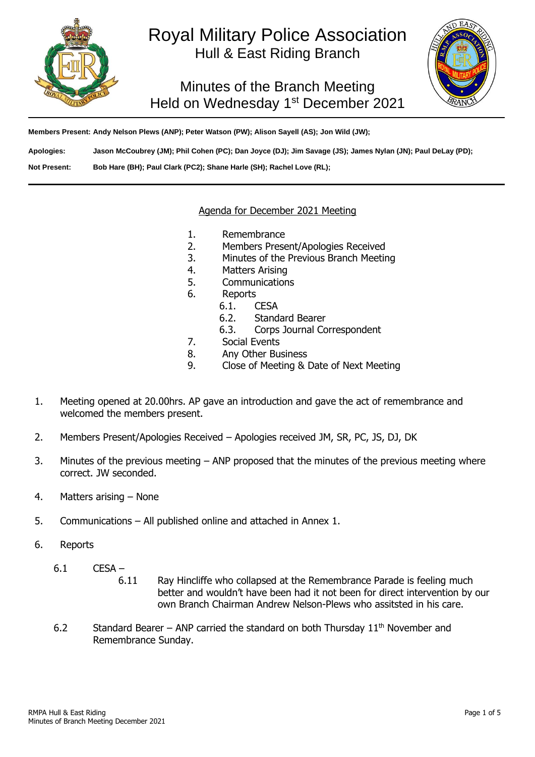

# Royal Military Police Association Hull & East Riding Branch

Minutes of the Branch Meeting Held on Wednesday 1<sup>st</sup> December 2021



**Members Present: Andy Nelson Plews (ANP); Peter Watson (PW); Alison Sayell (AS); Jon Wild (JW);** 

**Apologies: Jason McCoubrey (JM); Phil Cohen (PC); Dan Joyce (DJ); Jim Savage (JS); James Nylan (JN); Paul DeLay (PD);**

**Not Present: Bob Hare (BH); Paul Clark (PC2); Shane Harle (SH); Rachel Love (RL);**

#### Agenda for December 2021 Meeting

- 1. Remembrance
- 2. Members Present/Apologies Received
- 3. Minutes of the Previous Branch Meeting
- 4. Matters Arising
- 5. Communications
- 6. Reports
	- 6.1. CESA
		- 6.2. Standard Bearer
		- 6.3. Corps Journal Correspondent
- 7. Social Events
- 8. Any Other Business
- 9. Close of Meeting & Date of Next Meeting
- 1. Meeting opened at 20.00hrs. AP gave an introduction and gave the act of remembrance and welcomed the members present.
- 2. Members Present/Apologies Received Apologies received JM, SR, PC, JS, DJ, DK
- 3. Minutes of the previous meeting ANP proposed that the minutes of the previous meeting where correct. JW seconded.
- 4. Matters arising None
- 5. Communications All published online and attached in Annex 1.
- 6. Reports
	- 6.1 CESA
		- 6.11 Ray Hincliffe who collapsed at the Remembrance Parade is feeling much better and wouldn't have been had it not been for direct intervention by our own Branch Chairman Andrew Nelson-Plews who assitsted in his care.
		- 6.2 Standard Bearer ANP carried the standard on both Thursday  $11<sup>th</sup>$  November and Remembrance Sunday.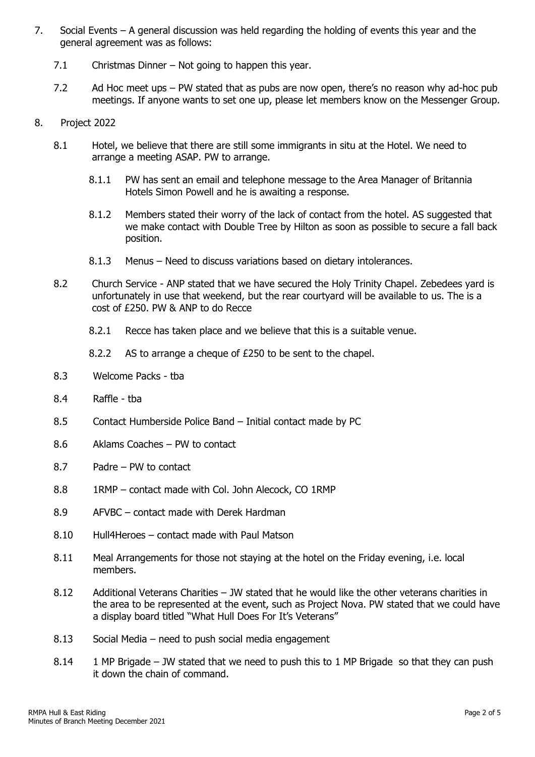- 7. Social Events A general discussion was held regarding the holding of events this year and the general agreement was as follows:
	- 7.1 Christmas Dinner Not going to happen this year.
	- 7.2 Ad Hoc meet ups PW stated that as pubs are now open, there's no reason why ad-hoc pub meetings. If anyone wants to set one up, please let members know on the Messenger Group.
- 8. Project 2022
	- 8.1 Hotel, we believe that there are still some immigrants in situ at the Hotel. We need to arrange a meeting ASAP. PW to arrange.
		- 8.1.1 PW has sent an email and telephone message to the Area Manager of Britannia Hotels Simon Powell and he is awaiting a response.
		- 8.1.2 Members stated their worry of the lack of contact from the hotel. AS suggested that we make contact with Double Tree by Hilton as soon as possible to secure a fall back position.
		- 8.1.3 Menus Need to discuss variations based on dietary intolerances.
	- 8.2 Church Service ANP stated that we have secured the Holy Trinity Chapel. Zebedees yard is unfortunately in use that weekend, but the rear courtyard will be available to us. The is a cost of £250. PW & ANP to do Recce
		- 8.2.1 Recce has taken place and we believe that this is a suitable venue.
		- 8.2.2 AS to arrange a cheque of £250 to be sent to the chapel.
	- 8.3 Welcome Packs tba
	- 8.4 Raffle tba
	- 8.5 Contact Humberside Police Band Initial contact made by PC
	- 8.6 Aklams Coaches PW to contact
	- 8.7 Padre PW to contact
	- 8.8 1RMP contact made with Col. John Alecock, CO 1RMP
	- 8.9 AFVBC contact made with Derek Hardman
	- 8.10 Hull4Heroes contact made with Paul Matson
	- 8.11 Meal Arrangements for those not staying at the hotel on the Friday evening, i.e. local members.
	- 8.12 Additional Veterans Charities JW stated that he would like the other veterans charities in the area to be represented at the event, such as Project Nova. PW stated that we could have a display board titled "What Hull Does For It's Veterans"
	- 8.13 Social Media need to push social media engagement
	- 8.14 1 MP Brigade JW stated that we need to push this to 1 MP Brigade so that they can push it down the chain of command.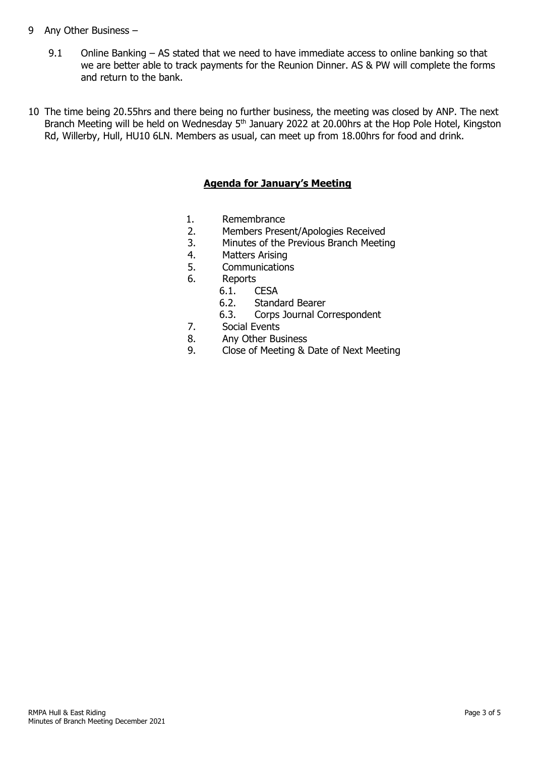# 9 Any Other Business –

- 9.1 Online Banking AS stated that we need to have immediate access to online banking so that we are better able to track payments for the Reunion Dinner. AS & PW will complete the forms and return to the bank.
- 10 The time being 20.55hrs and there being no further business, the meeting was closed by ANP. The next Branch Meeting will be held on Wednesday 5<sup>th</sup> January 2022 at 20.00hrs at the Hop Pole Hotel, Kingston Rd, Willerby, Hull, HU10 6LN. Members as usual, can meet up from 18.00hrs for food and drink.

# **Agenda for January's Meeting**

- 1. Remembrance<br>2. Members Prese
- 2. Members Present/Apologies Received
- 3. Minutes of the Previous Branch Meeting
- 4. Matters Arising<br>5. Communication
- **Communications**
- 6. Reports
	- 6.1. CESA
	- 6.2. Standard Bearer
	- 6.3. Corps Journal Correspondent
- 7. Social Events
- 8. Any Other Business
- 9. Close of Meeting & Date of Next Meeting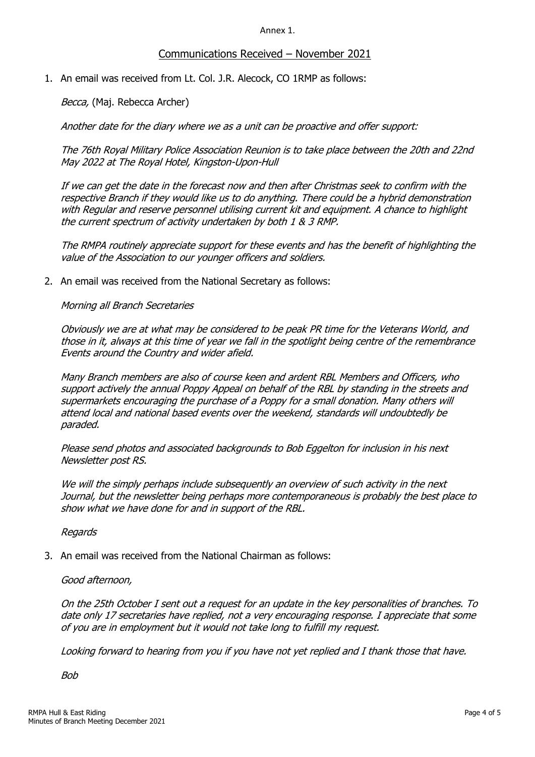Annex 1.

# Communications Received – November 2021

1. An email was received from Lt. Col. J.R. Alecock, CO 1RMP as follows:

Becca, (Maj. Rebecca Archer)

Another date for the diary where we as a unit can be proactive and offer support:

The 76th Royal Military Police Association Reunion is to take place between the 20th and 22nd May 2022 at The Royal Hotel, Kingston-Upon-Hull

If we can get the date in the forecast now and then after Christmas seek to confirm with the respective Branch if they would like us to do anything. There could be a hybrid demonstration with Regular and reserve personnel utilising current kit and equipment. A chance to highlight the current spectrum of activity undertaken by both 1 & 3 RMP.

The RMPA routinely appreciate support for these events and has the benefit of highlighting the value of the Association to our younger officers and soldiers.

2. An email was received from the National Secretary as follows:

Morning all Branch Secretaries

Obviously we are at what may be considered to be peak PR time for the Veterans World, and those in it, always at this time of year we fall in the spotlight being centre of the remembrance Events around the Country and wider afield.

Many Branch members are also of course keen and ardent RBL Members and Officers, who support actively the annual Poppy Appeal on behalf of the RBL by standing in the streets and supermarkets encouraging the purchase of a Poppy for a small donation. Many others will attend local and national based events over the weekend, standards will undoubtedly be paraded.

Please send photos and associated backgrounds to Bob Eggelton for inclusion in his next Newsletter post RS.

We will the simply perhaps include subsequently an overview of such activity in the next Journal, but the newsletter being perhaps more contemporaneous is probably the best place to show what we have done for and in support of the RBL.

Regards

3. An email was received from the National Chairman as follows:

### Good afternoon,

On the 25th October I sent out a request for an update in the key personalities of branches. To date only 17 secretaries have replied, not a very encouraging response. I appreciate that some of you are in employment but it would not take long to fulfill my request.

Looking forward to hearing from you if you have not yet replied and I thank those that have.

Bob